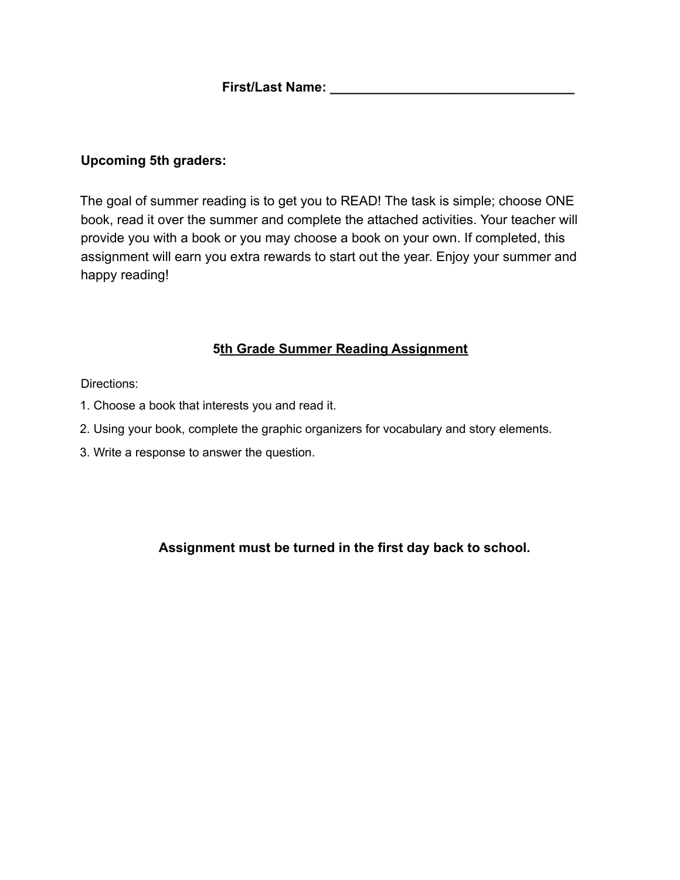#### **Upcoming 5th graders:**

The goal of summer reading is to get you to READ! The task is simple; choose ONE book, read it over the summer and complete the attached activities. Your teacher will provide you with a book or you may choose a book on your own. If completed, this assignment will earn you extra rewards to start out the year. Enjoy your summer and happy reading!

#### **5th Grade Summer Reading Assignment**

Directions:

- 1. Choose a book that interests you and read it.
- 2. Using your book, complete the graphic organizers for vocabulary and story elements.
- 3. Write a response to answer the question.

## **Assignment must be turned in the first day back to school.**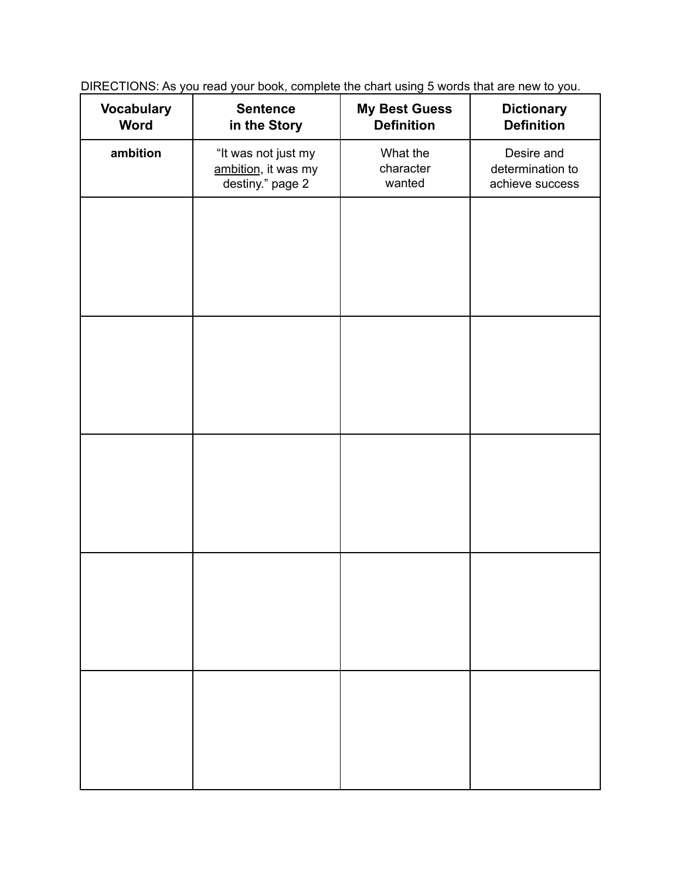DIRECTIONS: As you read your book, complete the chart using 5 words that are new to you.

| <b>Vocabulary</b><br><b>Word</b> | <b>Sentence</b><br>in the Story                                | <b>My Best Guess</b><br><b>Definition</b> | <b>Dictionary</b><br><b>Definition</b>            |
|----------------------------------|----------------------------------------------------------------|-------------------------------------------|---------------------------------------------------|
| ambition                         | "It was not just my<br>ambition, it was my<br>destiny." page 2 | What the<br>character<br>wanted           | Desire and<br>determination to<br>achieve success |
|                                  |                                                                |                                           |                                                   |
|                                  |                                                                |                                           |                                                   |
|                                  |                                                                |                                           |                                                   |
|                                  |                                                                |                                           |                                                   |
|                                  |                                                                |                                           |                                                   |
|                                  |                                                                |                                           |                                                   |
|                                  |                                                                |                                           |                                                   |
|                                  |                                                                |                                           |                                                   |
|                                  |                                                                |                                           |                                                   |
|                                  |                                                                |                                           |                                                   |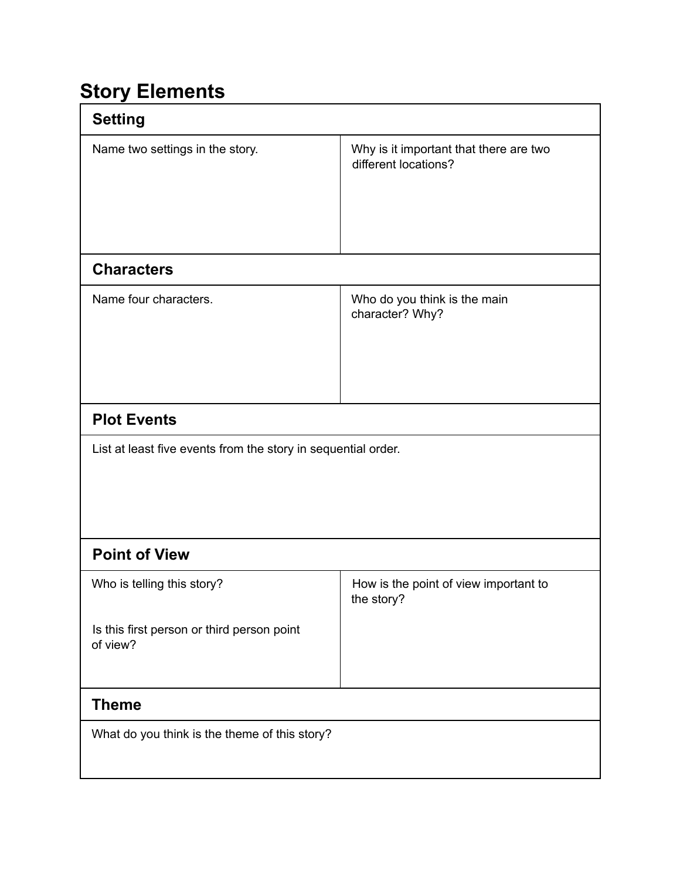# **Story Elements**

| <b>Setting</b>                                                                       |                                                                |  |  |
|--------------------------------------------------------------------------------------|----------------------------------------------------------------|--|--|
| Name two settings in the story.                                                      | Why is it important that there are two<br>different locations? |  |  |
| <b>Characters</b>                                                                    |                                                                |  |  |
| Name four characters.                                                                | Who do you think is the main<br>character? Why?                |  |  |
| <b>Plot Events</b>                                                                   |                                                                |  |  |
| List at least five events from the story in sequential order.                        |                                                                |  |  |
| <b>Point of View</b>                                                                 |                                                                |  |  |
| Who is telling this story?<br>Is this first person or third person point<br>of view? | How is the point of view important to<br>the story?            |  |  |
| <b>Theme</b>                                                                         |                                                                |  |  |
| What do you think is the theme of this story?                                        |                                                                |  |  |